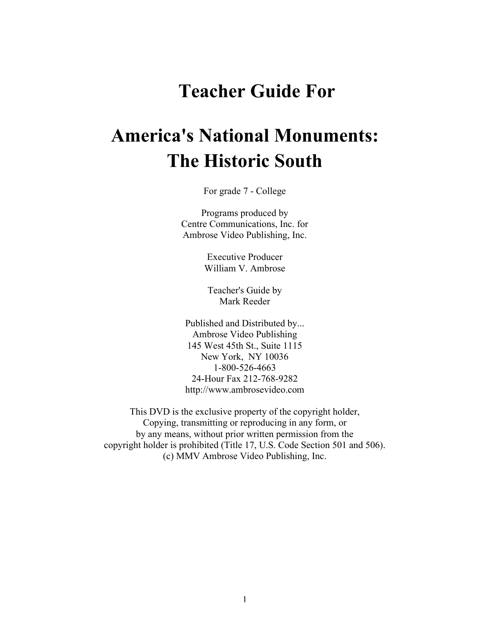## **Teacher Guide For**

# **America's National Monuments: The Historic South**

For grade 7 - College

Programs produced by Centre Communications, Inc. for Ambrose Video Publishing, Inc.

> Executive Producer William V. Ambrose

Teacher's Guide by Mark Reeder

Published and Distributed by... Ambrose Video Publishing 145 West 45th St., Suite 1115 New York, NY 10036 1-800-526-4663 24-Hour Fax 212-768-9282 http://www.ambrosevideo.com

This DVD is the exclusive property of the copyright holder, Copying, transmitting or reproducing in any form, or by any means, without prior written permission from the copyright holder is prohibited (Title 17, U.S. Code Section 501 and 506). (c) MMV Ambrose Video Publishing, Inc.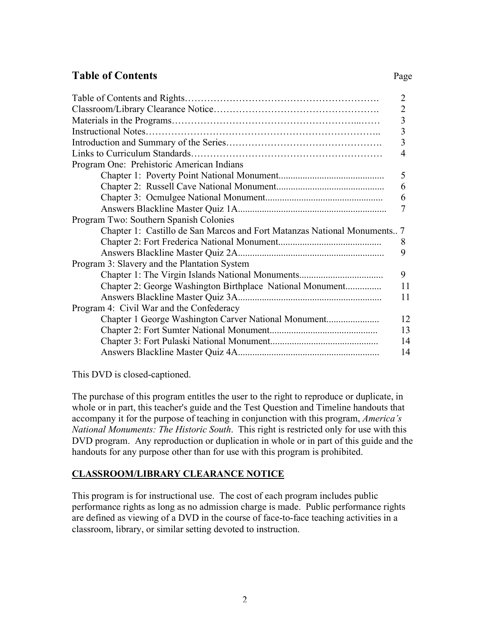## **Table of Contents** Page

|                                                                          | $\overline{2}$ |
|--------------------------------------------------------------------------|----------------|
|                                                                          | $\overline{2}$ |
|                                                                          | $\overline{3}$ |
|                                                                          | $\overline{3}$ |
|                                                                          | $\overline{3}$ |
|                                                                          | 4              |
| Program One: Prehistoric American Indians                                |                |
|                                                                          | 5              |
|                                                                          | 6              |
|                                                                          | 6              |
|                                                                          | 7              |
| Program Two: Southern Spanish Colonies                                   |                |
| Chapter 1: Castillo de San Marcos and Fort Matanzas National Monuments 7 |                |
|                                                                          | 8              |
|                                                                          | 9              |
| Program 3: Slavery and the Plantation System                             |                |
|                                                                          | 9              |
| Chapter 2: George Washington Birthplace National Monument                | 11             |
|                                                                          | 11             |
| Program 4: Civil War and the Confederacy                                 |                |
|                                                                          | 12             |
|                                                                          | 13             |
|                                                                          | 14             |
|                                                                          | 14             |

This DVD is closed-captioned.

The purchase of this program entitles the user to the right to reproduce or duplicate, in whole or in part, this teacher's guide and the Test Question and Timeline handouts that accompany it for the purpose of teaching in conjunction with this program, *America's National Monuments: The Historic South*. This right is restricted only for use with this DVD program. Any reproduction or duplication in whole or in part of this guide and the handouts for any purpose other than for use with this program is prohibited.

#### **CLASSROOM/LIBRARY CLEARANCE NOTICE**

This program is for instructional use. The cost of each program includes public performance rights as long as no admission charge is made. Public performance rights are defined as viewing of a DVD in the course of face-to-face teaching activities in a classroom, library, or similar setting devoted to instruction.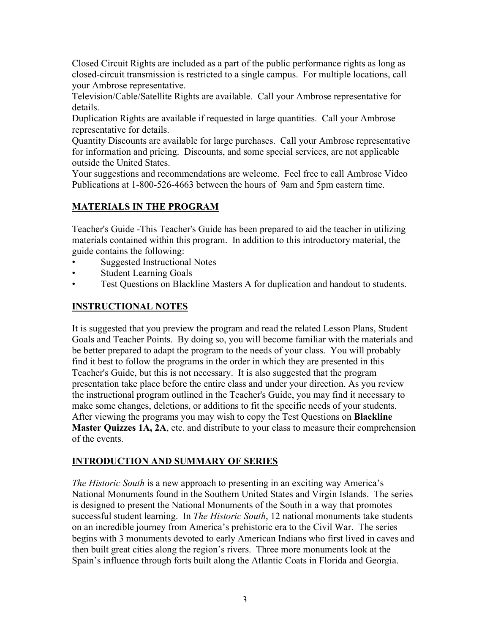Closed Circuit Rights are included as a part of the public performance rights as long as closed-circuit transmission is restricted to a single campus. For multiple locations, call your Ambrose representative.

Television/Cable/Satellite Rights are available. Call your Ambrose representative for details.

Duplication Rights are available if requested in large quantities. Call your Ambrose representative for details.

Quantity Discounts are available for large purchases. Call your Ambrose representative for information and pricing. Discounts, and some special services, are not applicable outside the United States.

Your suggestions and recommendations are welcome. Feel free to call Ambrose Video Publications at 1-800-526-4663 between the hours of 9am and 5pm eastern time.

## **MATERIALS IN THE PROGRAM**

Teacher's Guide -This Teacher's Guide has been prepared to aid the teacher in utilizing materials contained within this program. In addition to this introductory material, the guide contains the following:

- Suggested Instructional Notes
- **Student Learning Goals**
- Test Questions on Blackline Masters A for duplication and handout to students.

## **INSTRUCTIONAL NOTES**

It is suggested that you preview the program and read the related Lesson Plans, Student Goals and Teacher Points. By doing so, you will become familiar with the materials and be better prepared to adapt the program to the needs of your class. You will probably find it best to follow the programs in the order in which they are presented in this Teacher's Guide, but this is not necessary. It is also suggested that the program presentation take place before the entire class and under your direction. As you review the instructional program outlined in the Teacher's Guide, you may find it necessary to make some changes, deletions, or additions to fit the specific needs of your students. After viewing the programs you may wish to copy the Test Questions on **Blackline Master Quizzes 1A, 2A**, etc. and distribute to your class to measure their comprehension of the events.

## **INTRODUCTION AND SUMMARY OF SERIES**

*The Historic South* is a new approach to presenting in an exciting way America's National Monuments found in the Southern United States and Virgin Islands. The series is designed to present the National Monuments of the South in a way that promotes successful student learning. In *The Historic South*, 12 national monuments take students on an incredible journey from America's prehistoric era to the Civil War. The series begins with 3 monuments devoted to early American Indians who first lived in caves and then built great cities along the region's rivers. Three more monuments look at the Spain's influence through forts built along the Atlantic Coats in Florida and Georgia.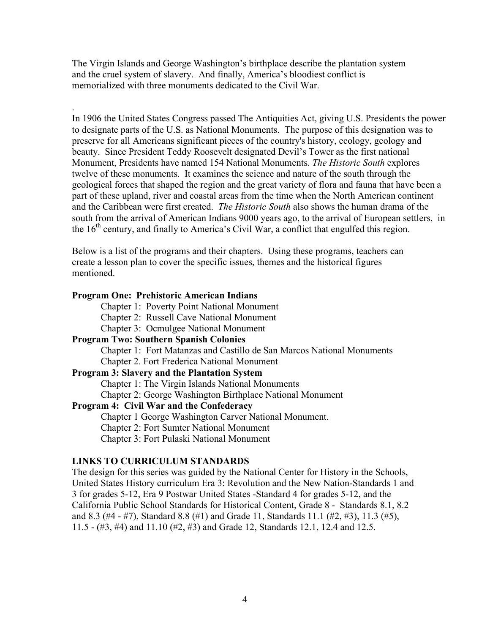The Virgin Islands and George Washington's birthplace describe the plantation system and the cruel system of slavery. And finally, America's bloodiest conflict is memorialized with three monuments dedicated to the Civil War.

. In 1906 the United States Congress passed The Antiquities Act, giving U.S. Presidents the power to designate parts of the U.S. as National Monuments. The purpose of this designation was to preserve for all Americans significant pieces of the country's history, ecology, geology and beauty. Since President Teddy Roosevelt designated Devil's Tower as the first national Monument, Presidents have named 154 National Monuments. *The Historic South* explores twelve of these monuments. It examines the science and nature of the south through the geological forces that shaped the region and the great variety of flora and fauna that have been a part of these upland, river and coastal areas from the time when the North American continent and the Caribbean were first created. *The Historic South* also shows the human drama of the south from the arrival of American Indians 9000 years ago, to the arrival of European settlers, in the  $16<sup>th</sup>$  century, and finally to America's Civil War, a conflict that engulfed this region.

Below is a list of the programs and their chapters. Using these programs, teachers can create a lesson plan to cover the specific issues, themes and the historical figures mentioned.

#### **Program One: Prehistoric American Indians**

- Chapter 1: Poverty Point National Monument
- Chapter 2: Russell Cave National Monument
- Chapter 3: Ocmulgee National Monument

#### **Program Two: Southern Spanish Colonies**

Chapter 1: Fort Matanzas and Castillo de San Marcos National Monuments

Chapter 2. Fort Frederica National Monument

#### **Program 3: Slavery and the Plantation System**

Chapter 1: The Virgin Islands National Monuments

Chapter 2: George Washington Birthplace National Monument

#### **Program 4: Civil War and the Confederacy**

Chapter 1 George Washington Carver National Monument.

Chapter 2: Fort Sumter National Monument

Chapter 3: Fort Pulaski National Monument

#### **LINKS TO CURRICULUM STANDARDS**

The design for this series was guided by the National Center for History in the Schools, United States History curriculum Era 3: Revolution and the New Nation-Standards 1 and 3 for grades 5-12, Era 9 Postwar United States -Standard 4 for grades 5-12, and the California Public School Standards for Historical Content, Grade 8 - Standards 8.1, 8.2 and 8.3 (#4 - #7), Standard 8.8 (#1) and Grade 11, Standards 11.1 (#2, #3), 11.3 (#5), 11.5 - (#3, #4) and 11.10 (#2, #3) and Grade 12, Standards 12.1, 12.4 and 12.5.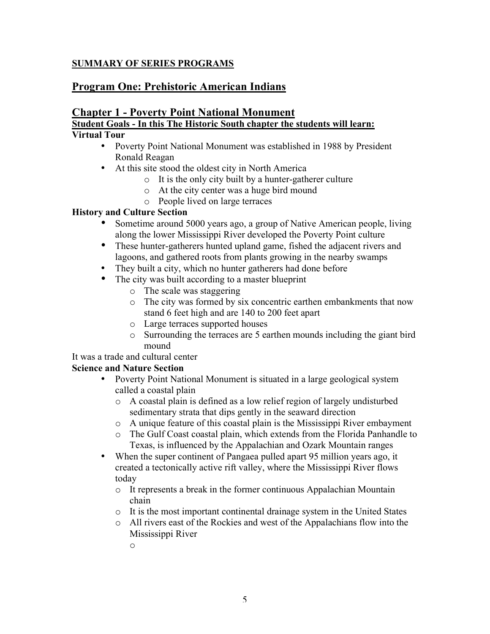#### **SUMMARY OF SERIES PROGRAMS**

## **Program One: Prehistoric American Indians**

## **Chapter 1 - Poverty Point National Monument Student Goals - In this The Historic South chapter the students will learn:**

## **Virtual Tour**

- Poverty Point National Monument was established in 1988 by President Ronald Reagan
- At this site stood the oldest city in North America
	- o It is the only city built by a hunter-gatherer culture
	- o At the city center was a huge bird mound
	- o People lived on large terraces

#### **History and Culture Section**

- Sometime around 5000 years ago, a group of Native American people, living along the lower Mississippi River developed the Poverty Point culture
- These hunter-gatherers hunted upland game, fished the adjacent rivers and lagoons, and gathered roots from plants growing in the nearby swamps
- They built a city, which no hunter gatherers had done before
- The city was built according to a master blueprint
	- o The scale was staggering
	- o The city was formed by six concentric earthen embankments that now stand 6 feet high and are 140 to 200 feet apart
	- o Large terraces supported houses
	- o Surrounding the terraces are 5 earthen mounds including the giant bird mound

It was a trade and cultural center

#### **Science and Nature Section**

- Poverty Point National Monument is situated in a large geological system called a coastal plain
	- o A coastal plain is defined as a low relief region of largely undisturbed sedimentary strata that dips gently in the seaward direction
	- o A unique feature of this coastal plain is the Mississippi River embayment
	- o The Gulf Coast coastal plain, which extends from the Florida Panhandle to Texas, is influenced by the Appalachian and Ozark Mountain ranges
- When the super continent of Pangaea pulled apart 95 million years ago, it created a tectonically active rift valley, where the Mississippi River flows today
	- o It represents a break in the former continuous Appalachian Mountain chain
	- o It is the most important continental drainage system in the United States
	- o All rivers east of the Rockies and west of the Appalachians flow into the Mississippi River

o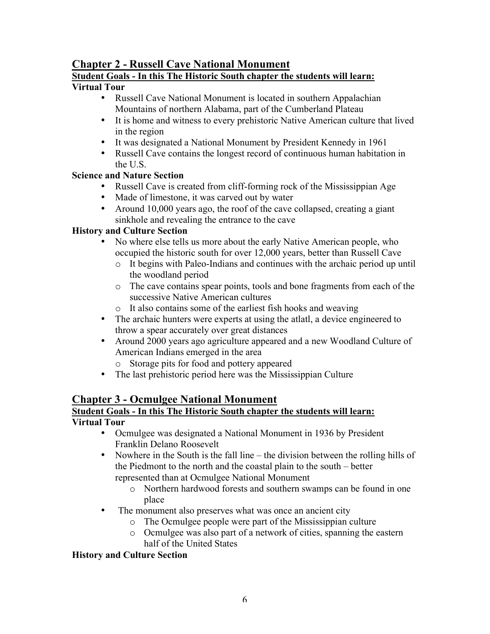## **Chapter 2 - Russell Cave National Monument**

## **Student Goals - In this The Historic South chapter the students will learn:**

## **Virtual Tour**

- Russell Cave National Monument is located in southern Appalachian Mountains of northern Alabama, part of the Cumberland Plateau
- It is home and witness to every prehistoric Native American culture that lived in the region
- It was designated a National Monument by President Kennedy in 1961
- Russell Cave contains the longest record of continuous human habitation in the U.S.

#### **Science and Nature Section**

- Russell Cave is created from cliff-forming rock of the Mississippian Age
- Made of limestone, it was carved out by water
- Around 10,000 years ago, the roof of the cave collapsed, creating a giant sinkhole and revealing the entrance to the cave

#### **History and Culture Section**

- No where else tells us more about the early Native American people, who occupied the historic south for over 12,000 years, better than Russell Cave
	- o It begins with Paleo-Indians and continues with the archaic period up until the woodland period
	- o The cave contains spear points, tools and bone fragments from each of the successive Native American cultures
	- o It also contains some of the earliest fish hooks and weaving
- The archaic hunters were experts at using the atlatl, a device engineered to throw a spear accurately over great distances
- Around 2000 years ago agriculture appeared and a new Woodland Culture of American Indians emerged in the area
	- o Storage pits for food and pottery appeared
- The last prehistoric period here was the Mississippian Culture

## **Chapter 3 - Ocmulgee National Monument**

## **Student Goals - In this The Historic South chapter the students will learn:**

## **Virtual Tour**

- Ocmulgee was designated a National Monument in 1936 by President Franklin Delano Roosevelt
- Nowhere in the South is the fall line the division between the rolling hills of the Piedmont to the north and the coastal plain to the south – better represented than at Ocmulgee National Monument
	- o Northern hardwood forests and southern swamps can be found in one place
- The monument also preserves what was once an ancient city
	- o The Ocmulgee people were part of the Mississippian culture
	- o Ocmulgee was also part of a network of cities, spanning the eastern half of the United States

#### **History and Culture Section**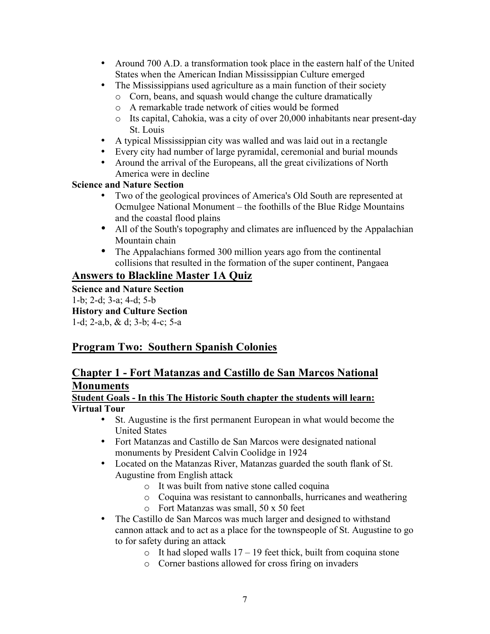- Around 700 A.D. a transformation took place in the eastern half of the United States when the American Indian Mississippian Culture emerged
- The Mississippians used agriculture as a main function of their society
	- o Corn, beans, and squash would change the culture dramatically
	- o A remarkable trade network of cities would be formed
	- o Its capital, Cahokia, was a city of over 20,000 inhabitants near present-day St. Louis
- A typical Mississippian city was walled and was laid out in a rectangle
- Every city had number of large pyramidal, ceremonial and burial mounds
- Around the arrival of the Europeans, all the great civilizations of North America were in decline

#### **Science and Nature Section**

- Two of the geological provinces of America's Old South are represented at Ocmulgee National Monument – the foothills of the Blue Ridge Mountains and the coastal flood plains
- All of the South's topography and climates are influenced by the Appalachian Mountain chain
- The Appalachians formed 300 million years ago from the continental collisions that resulted in the formation of the super continent, Pangaea

## **Answers to Blackline Master 1A Quiz**

**Science and Nature Section** 1-b; 2-d; 3-a; 4-d; 5-b **History and Culture Section** 1-d; 2-a,b, & d; 3-b; 4-c; 5-a

## **Program Two: Southern Spanish Colonies**

## **Chapter 1 - Fort Matanzas and Castillo de San Marcos National Monuments**

#### **Student Goals - In this The Historic South chapter the students will learn: Virtual Tour**

- St. Augustine is the first permanent European in what would become the United States
- Fort Matanzas and Castillo de San Marcos were designated national monuments by President Calvin Coolidge in 1924
- Located on the Matanzas River, Matanzas guarded the south flank of St. Augustine from English attack
	- o It was built from native stone called coquina
	- o Coquina was resistant to cannonballs, hurricanes and weathering
	- o Fort Matanzas was small, 50 x 50 feet
- The Castillo de San Marcos was much larger and designed to withstand cannon attack and to act as a place for the townspeople of St. Augustine to go to for safety during an attack
	- $\circ$  It had sloped walls 17 19 feet thick, built from coquina stone
	- o Corner bastions allowed for cross firing on invaders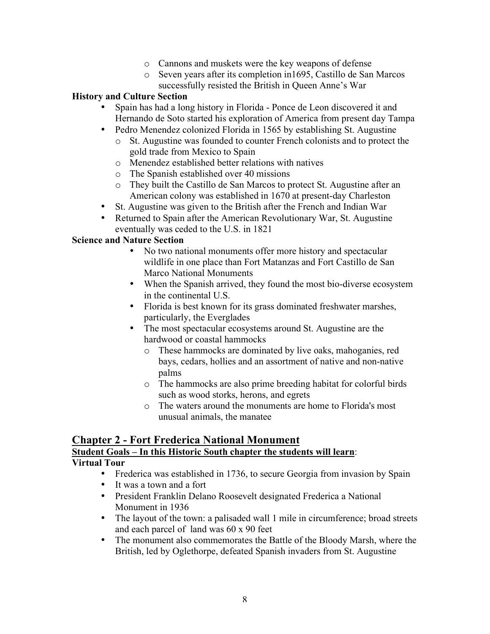- o Cannons and muskets were the key weapons of defense
- o Seven years after its completion in1695, Castillo de San Marcos successfully resisted the British in Queen Anne's War

#### **History and Culture Section**

- Spain has had a long history in Florida Ponce de Leon discovered it and Hernando de Soto started his exploration of America from present day Tampa
- Pedro Menendez colonized Florida in 1565 by establishing St. Augustine
	- o St. Augustine was founded to counter French colonists and to protect the gold trade from Mexico to Spain
	- o Menendez established better relations with natives
	- o The Spanish established over 40 missions
	- o They built the Castillo de San Marcos to protect St. Augustine after an American colony was established in 1670 at present-day Charleston
- St. Augustine was given to the British after the French and Indian War
- Returned to Spain after the American Revolutionary War, St. Augustine eventually was ceded to the U.S. in 1821

#### **Science and Nature Section**

- No two national monuments offer more history and spectacular wildlife in one place than Fort Matanzas and Fort Castillo de San Marco National Monuments
- When the Spanish arrived, they found the most bio-diverse ecosystem in the continental U.S.
- Florida is best known for its grass dominated freshwater marshes, particularly, the Everglades
- The most spectacular ecosystems around St. Augustine are the hardwood or coastal hammocks
	- o These hammocks are dominated by live oaks, mahoganies, red bays, cedars, hollies and an assortment of native and non-native palms
	- o The hammocks are also prime breeding habitat for colorful birds such as wood storks, herons, and egrets
	- o The waters around the monuments are home to Florida's most unusual animals, the manatee

#### **Chapter 2 - Fort Frederica National Monument Student Goals – In this Historic South chapter the students will learn**: **Virtual Tour**

- Frederica was established in 1736, to secure Georgia from invasion by Spain
- It was a town and a fort
- President Franklin Delano Roosevelt designated Frederica a National Monument in 1936
- The layout of the town: a palisaded wall 1 mile in circumference; broad streets and each parcel of land was 60 x 90 feet
- The monument also commemorates the Battle of the Bloody Marsh, where the British, led by Oglethorpe, defeated Spanish invaders from St. Augustine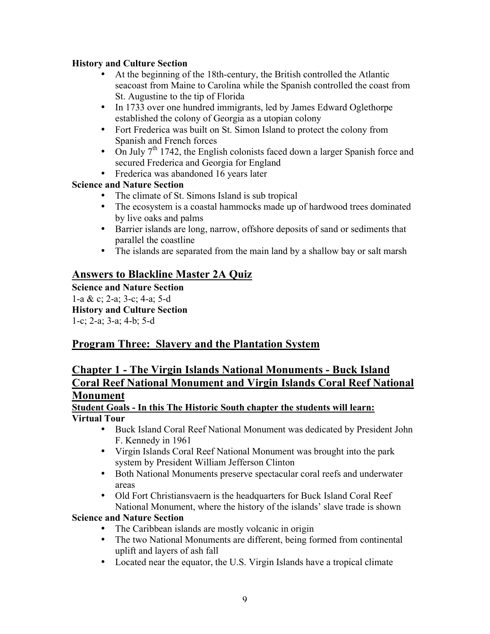#### **History and Culture Section**

- At the beginning of the 18th-century, the British controlled the Atlantic seacoast from Maine to Carolina while the Spanish controlled the coast from St. Augustine to the tip of Florida
- In 1733 over one hundred immigrants, led by James Edward Oglethorpe established the colony of Georgia as a utopian colony
- Fort Frederica was built on St. Simon Island to protect the colony from Spanish and French forces
- On July  $7<sup>th</sup>$  1742, the English colonists faced down a larger Spanish force and secured Frederica and Georgia for England
- Frederica was abandoned 16 years later

## **Science and Nature Section**

- The climate of St. Simons Island is sub tropical<br>• The ecosystem is a coastal hammocks made un
- The ecosystem is a coastal hammocks made up of hardwood trees dominated by live oaks and palms
- Barrier islands are long, narrow, offshore deposits of sand or sediments that parallel the coastline
- The islands are separated from the main land by a shallow bay or salt marsh

## **Answers to Blackline Master 2A Quiz**

**Science and Nature Section** 1-a & c; 2-a; 3-c; 4-a; 5-d **History and Culture Section** 1-c; 2-a; 3-a; 4-b; 5-d

## **Program Three: Slavery and the Plantation System**

## **Chapter 1 - The Virgin Islands National Monuments - Buck Island Coral Reef National Monument and Virgin Islands Coral Reef National Monument**

#### **Student Goals - In this The Historic South chapter the students will learn: Virtual Tour**

- Buck Island Coral Reef National Monument was dedicated by President John F. Kennedy in 1961
- Virgin Islands Coral Reef National Monument was brought into the park system by President William Jefferson Clinton
- Both National Monuments preserve spectacular coral reefs and underwater areas
- Old Fort Christiansvaern is the headquarters for Buck Island Coral Reef National Monument, where the history of the islands' slave trade is shown

#### **Science and Nature Section**

- The Caribbean islands are mostly volcanic in origin
- The two National Monuments are different, being formed from continental uplift and layers of ash fall
- Located near the equator, the U.S. Virgin Islands have a tropical climate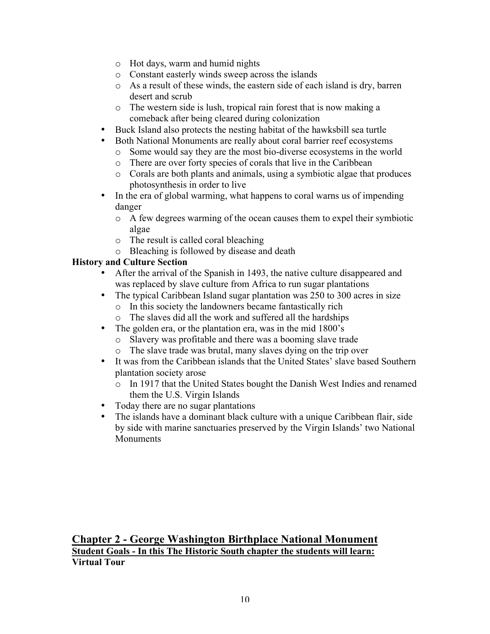- o Hot days, warm and humid nights
- o Constant easterly winds sweep across the islands
- o As a result of these winds, the eastern side of each island is dry, barren desert and scrub
- o The western side is lush, tropical rain forest that is now making a comeback after being cleared during colonization
- Buck Island also protects the nesting habitat of the hawksbill sea turtle
- Both National Monuments are really about coral barrier reef ecosystems
	- o Some would say they are the most bio-diverse ecosystems in the world
	- o There are over forty species of corals that live in the Caribbean
	- o Corals are both plants and animals, using a symbiotic algae that produces photosynthesis in order to live
- In the era of global warming, what happens to coral warns us of impending danger
	- o A few degrees warming of the ocean causes them to expel their symbiotic algae
	- o The result is called coral bleaching
	- o Bleaching is followed by disease and death

#### **History and Culture Section**

- After the arrival of the Spanish in 1493, the native culture disappeared and was replaced by slave culture from Africa to run sugar plantations
- The typical Caribbean Island sugar plantation was 250 to 300 acres in size
	- o In this society the landowners became fantastically rich
	- o The slaves did all the work and suffered all the hardships
- The golden era, or the plantation era, was in the mid 1800's
	- o Slavery was profitable and there was a booming slave trade
	- o The slave trade was brutal, many slaves dying on the trip over
- It was from the Caribbean islands that the United States' slave based Southern plantation society arose
	- o In 1917 that the United States bought the Danish West Indies and renamed them the U.S. Virgin Islands
- Today there are no sugar plantations<br>• The islands have a dominant black cu
- The islands have a dominant black culture with a unique Caribbean flair, side by side with marine sanctuaries preserved by the Virgin Islands' two National **Monuments**

**Chapter 2 - George Washington Birthplace National Monument Student Goals - In this The Historic South chapter the students will learn: Virtual Tour**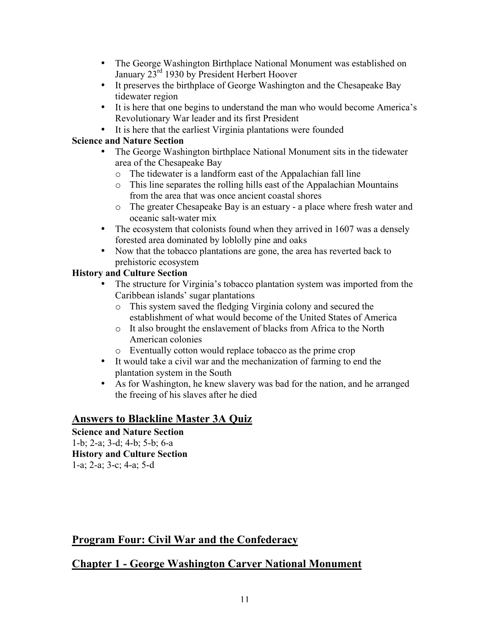- The George Washington Birthplace National Monument was established on January 23<sup>rd</sup> 1930 by President Herbert Hoover
- It preserves the birthplace of George Washington and the Chesapeake Bay tidewater region
- It is here that one begins to understand the man who would become America's Revolutionary War leader and its first President
- It is here that the earliest Virginia plantations were founded

#### **Science and Nature Section**

- The George Washington birthplace National Monument sits in the tidewater area of the Chesapeake Bay
	- o The tidewater is a landform east of the Appalachian fall line
	- o This line separates the rolling hills east of the Appalachian Mountains from the area that was once ancient coastal shores
	- o The greater Chesapeake Bay is an estuary a place where fresh water and oceanic salt-water mix
- The ecosystem that colonists found when they arrived in 1607 was a densely forested area dominated by loblolly pine and oaks
- Now that the tobacco plantations are gone, the area has reverted back to prehistoric ecosystem

## **History and Culture Section**

- The structure for Virginia's tobacco plantation system was imported from the Caribbean islands' sugar plantations
	- o This system saved the fledging Virginia colony and secured the establishment of what would become of the United States of America
	- o It also brought the enslavement of blacks from Africa to the North American colonies
	- o Eventually cotton would replace tobacco as the prime crop
- It would take a civil war and the mechanization of farming to end the plantation system in the South
- As for Washington, he knew slavery was bad for the nation, and he arranged the freeing of his slaves after he died

## **Answers to Blackline Master 3A Quiz**

**Science and Nature Section** 1-b; 2-a; 3-d; 4-b; 5-b; 6-a **History and Culture Section** 1-a; 2-a; 3-c; 4-a; 5-d

## **Program Four: Civil War and the Confederacy**

## **Chapter 1 - George Washington Carver National Monument**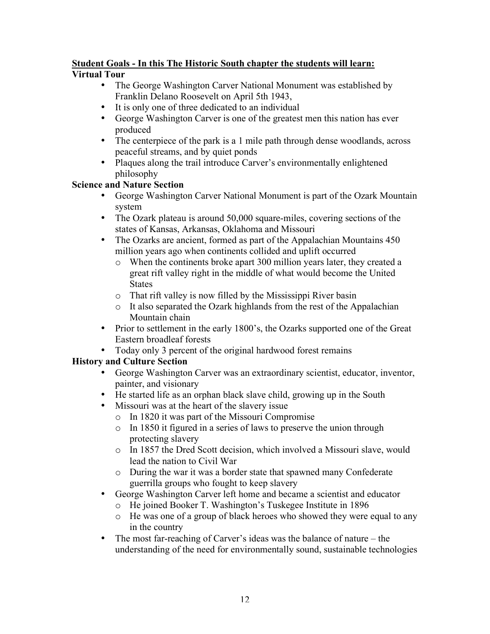#### **Student Goals - In this The Historic South chapter the students will learn: Virtual Tour**

- The George Washington Carver National Monument was established by Franklin Delano Roosevelt on April 5th 1943,
- It is only one of three dedicated to an individual<br>• George Washington Carver is one of the greatest
- George Washington Carver is one of the greatest men this nation has ever produced
- The centerpiece of the park is a 1 mile path through dense woodlands, across peaceful streams, and by quiet ponds
- Plaques along the trail introduce Carver's environmentally enlightened philosophy

#### **Science and Nature Section**

- George Washington Carver National Monument is part of the Ozark Mountain system
- The Ozark plateau is around 50,000 square-miles, covering sections of the states of Kansas, Arkansas, Oklahoma and Missouri
- The Ozarks are ancient, formed as part of the Appalachian Mountains 450 million years ago when continents collided and uplift occurred
	- o When the continents broke apart 300 million years later, they created a great rift valley right in the middle of what would become the United **States**
	- o That rift valley is now filled by the Mississippi River basin
	- o It also separated the Ozark highlands from the rest of the Appalachian Mountain chain
- Prior to settlement in the early 1800's, the Ozarks supported one of the Great Eastern broadleaf forests
- Today only 3 percent of the original hardwood forest remains

## **History and Culture Section**

- George Washington Carver was an extraordinary scientist, educator, inventor, painter, and visionary
- He started life as an orphan black slave child, growing up in the South
- Missouri was at the heart of the slavery issue
	- o In 1820 it was part of the Missouri Compromise
	- o In 1850 it figured in a series of laws to preserve the union through protecting slavery
	- o In 1857 the Dred Scott decision, which involved a Missouri slave, would lead the nation to Civil War
	- o During the war it was a border state that spawned many Confederate guerrilla groups who fought to keep slavery
- George Washington Carver left home and became a scientist and educator
	- o He joined Booker T. Washington's Tuskegee Institute in 1896
	- o He was one of a group of black heroes who showed they were equal to any in the country
- The most far-reaching of Carver's ideas was the balance of nature the understanding of the need for environmentally sound, sustainable technologies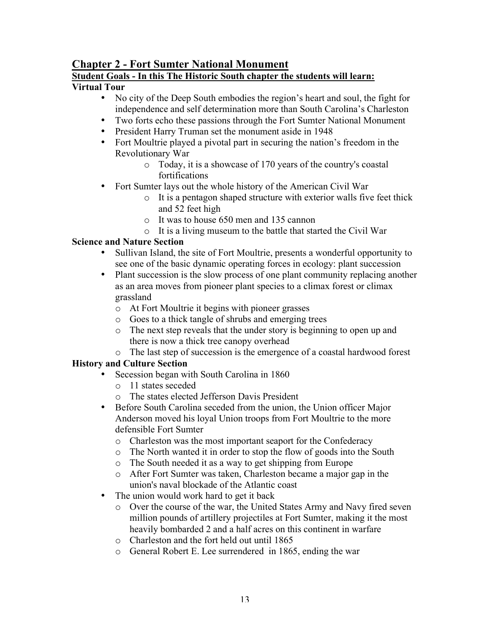## **Chapter 2 - Fort Sumter National Monument**

## **Student Goals - In this The Historic South chapter the students will learn:**

#### **Virtual Tour**

- No city of the Deep South embodies the region's heart and soul, the fight for independence and self determination more than South Carolina's Charleston
- Two forts echo these passions through the Fort Sumter National Monument
- President Harry Truman set the monument aside in 1948
- Fort Moultrie played a pivotal part in securing the nation's freedom in the Revolutionary War
	- o Today, it is a showcase of 170 years of the country's coastal fortifications
- Fort Sumter lays out the whole history of the American Civil War
	- o It is a pentagon shaped structure with exterior walls five feet thick and 52 feet high
	- o It was to house 650 men and 135 cannon
	- o It is a living museum to the battle that started the Civil War

## **Science and Nature Section**

- Sullivan Island, the site of Fort Moultrie, presents a wonderful opportunity to see one of the basic dynamic operating forces in ecology: plant succession
- Plant succession is the slow process of one plant community replacing another as an area moves from pioneer plant species to a climax forest or climax grassland
	- o At Fort Moultrie it begins with pioneer grasses
	- o Goes to a thick tangle of shrubs and emerging trees
	- o The next step reveals that the under story is beginning to open up and there is now a thick tree canopy overhead
	- o The last step of succession is the emergence of a coastal hardwood forest

## **History and Culture Section**

- Secession began with South Carolina in 1860
	- o 11 states seceded
	- o The states elected Jefferson Davis President
- Before South Carolina seceded from the union, the Union officer Major Anderson moved his loyal Union troops from Fort Moultrie to the more defensible Fort Sumter
	- o Charleston was the most important seaport for the Confederacy
	- o The North wanted it in order to stop the flow of goods into the South
	- o The South needed it as a way to get shipping from Europe
	- o After Fort Sumter was taken, Charleston became a major gap in the union's naval blockade of the Atlantic coast
- The union would work hard to get it back
	- o Over the course of the war, the United States Army and Navy fired seven million pounds of artillery projectiles at Fort Sumter, making it the most heavily bombarded 2 and a half acres on this continent in warfare
	- o Charleston and the fort held out until 1865
	- o General Robert E. Lee surrendered in 1865, ending the war